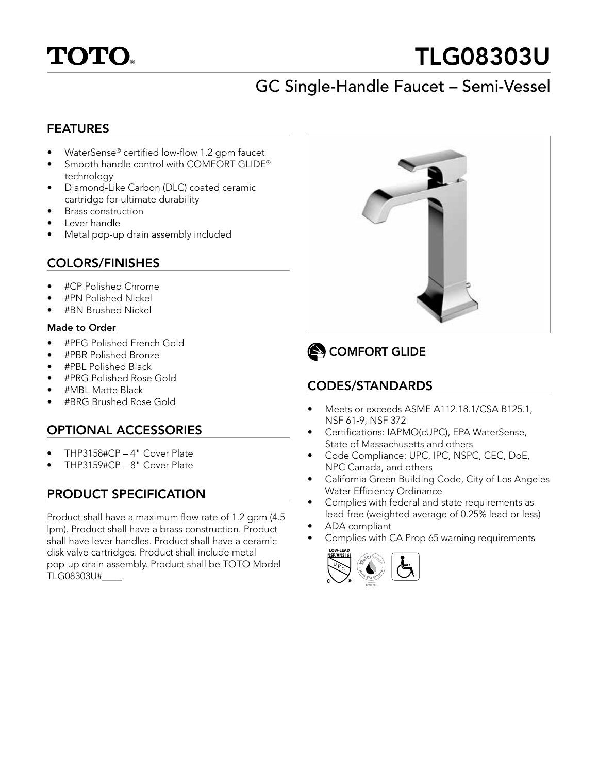

# TLG08303U

# GC Single-Handle Faucet – Semi-Vessel

#### FEATURES

- WaterSense® certified low-flow 1.2 gpm faucet
- Smooth handle control with COMFORT GLIDE® technology
- Diamond-Like Carbon (DLC) coated ceramic cartridge for ultimate durability
- Brass construction
- Lever handle
- Metal pop-up drain assembly included

#### COLORS/FINISHES

- #CP Polished Chrome
- #PN Polished Nickel
- #BN Brushed Nickel

#### Made to Order

- #PFG Polished French Gold
- #PBR Polished Bronze
- #PBL Polished Black
- #PRG Polished Rose Gold
- #MBL Matte Black
- #BRG Brushed Rose Gold

### OPTIONAL ACCESSORIES

- THP3158#CP 4" Cover Plate
- THP3159#CP 8" Cover Plate

## PRODUCT SPECIFICATION

Product shall have a maximum flow rate of 1.2 gpm (4.5 lpm). Product shall have a brass construction. Product shall have lever handles. Product shall have a ceramic disk valve cartridges. Product shall include metal pop-up drain assembly. Product shall be TOTO Model TLG08303U#\_\_\_\_.



# COMFORT GLIDE

## CODES/STANDARDS

- Meets or exceeds ASME A112.18.1/CSA B125.1, NSF 61-9, NSF 372
- Certifications: IAPMO(cUPC), EPA WaterSense, State of Massachusetts and others
- Code Compliance: UPC, IPC, NSPC, CEC, DoE, NPC Canada, and others
- California Green Building Code, City of Los Angeles Water Efficiency Ordinance
- Complies with federal and state requirements as lead-free (weighted average of 0.25% lead or less)
- ADA compliant
- Complies with CA Prop 65 warning requirements